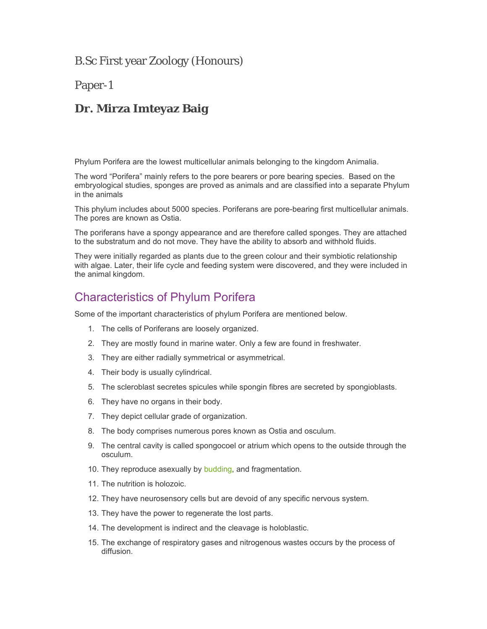B.Sc First year Zoology (Honours)

### Paper-1

## **Dr. Mirza Imteyaz Baig**

Phylum Porifera are the lowest multicellular animals belonging to the kingdom Animalia.

The word "Porifera" mainly refers to the pore bearers or pore bearing species. Based on the embryological studies, sponges are proved as animals and are classified into a separate Phylum in the animals

This phylum includes about 5000 species. Poriferans are pore-bearing first multicellular animals. The pores are known as Ostia.

The poriferans have a spongy appearance and are therefore called sponges. They are attached to the substratum and do not move. They have the ability to absorb and withhold fluids.

They were initially regarded as plants due to the green colour and their symbiotic relationship with algae. Later, their life cycle and feeding system were discovered, and they were included in the animal kingdom.

## Characteristics of Phylum Porifera

Some of the important characteristics of phylum Porifera are mentioned below.

- 1. The cells of Poriferans are loosely organized.
- 2. They are mostly found in marine water. Only a few are found in freshwater.
- 3. They are either radially symmetrical or asymmetrical.
- 4. Their body is usually cylindrical.
- 5. The scleroblast secretes spicules while spongin fibres are secreted by spongioblasts.
- 6. They have no organs in their body.
- 7. They depict cellular grade of organization.
- 8. The body comprises numerous pores known as Ostia and osculum.
- 9. The central cavity is called spongocoel or atrium which opens to the outside through the osculum.
- 10. They reproduce asexually by budding, and fragmentation.
- 11. The nutrition is holozoic.
- 12. They have neurosensory cells but are devoid of any specific nervous system.
- 13. They have the power to regenerate the lost parts.
- 14. The development is indirect and the cleavage is holoblastic.
- 15. The exchange of respiratory gases and nitrogenous wastes occurs by the process of diffusion.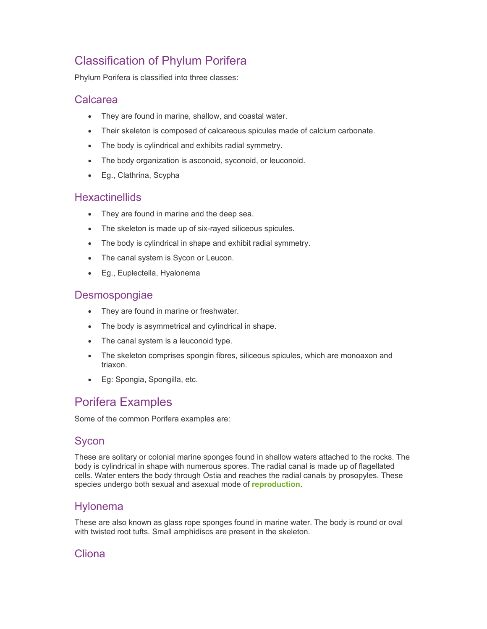# Classification of Phylum Porifera

Phylum Porifera is classified into three classes:

#### Calcarea

- They are found in marine, shallow, and coastal water.
- Their skeleton is composed of calcareous spicules made of calcium carbonate.
- The body is cylindrical and exhibits radial symmetry.
- The body organization is asconoid, syconoid, or leuconoid.
- Eg., Clathrina, Scypha

#### **Hexactinellids**

- They are found in marine and the deep sea.
- The skeleton is made up of six-rayed siliceous spicules.
- The body is cylindrical in shape and exhibit radial symmetry.
- The canal system is Sycon or Leucon.
- Eg., Euplectella, Hyalonema

### **Desmospongiae**

- They are found in marine or freshwater.
- The body is asymmetrical and cylindrical in shape.
- The canal system is a leuconoid type.
- The skeleton comprises spongin fibres, siliceous spicules, which are monoaxon and triaxon.
- Eg: Spongia, Spongilla, etc.

# Porifera Examples

Some of the common Porifera examples are:

### Sycon

These are solitary or colonial marine sponges found in shallow waters attached to the rocks. The body is cylindrical in shape with numerous spores. The radial canal is made up of flagellated cells. Water enters the body through Ostia and reaches the radial canals by prosopyles. These species undergo both sexual and asexual mode of **reproduction**.

### Hylonema

These are also known as glass rope sponges found in marine water. The body is round or oval with twisted root tufts. Small amphidiscs are present in the skeleton.

## Cliona